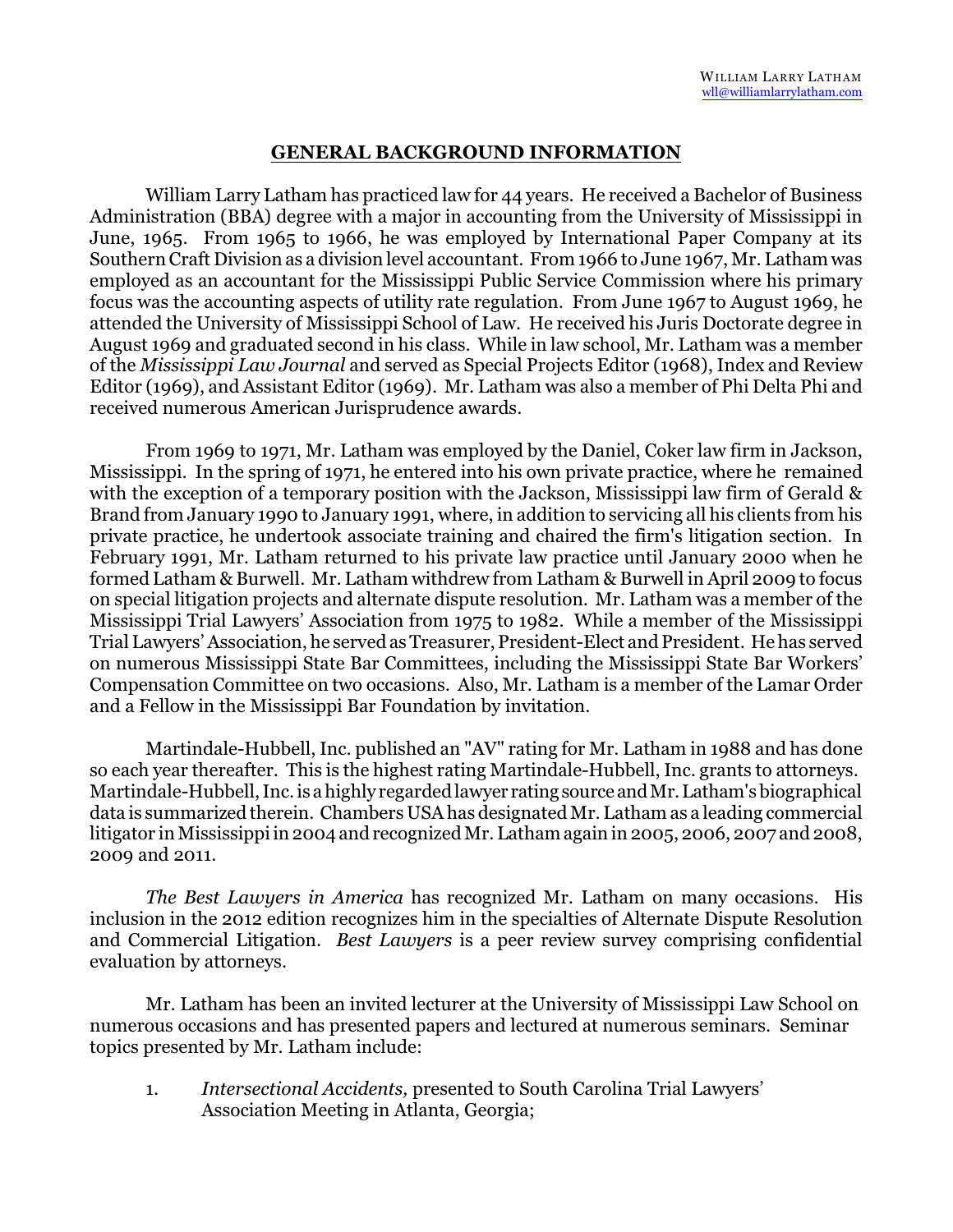## **GENERAL BACKGROUND INFORMATION**

William Larry Latham has practiced law for 44 years. He received a Bachelor of Business Administration (BBA) degree with a major in accounting from the University of Mississippi in June, 1965. From 1965 to 1966, he was employed by International Paper Company at its Southern Craft Division as a division level accountant. From 1966 to June 1967, Mr. Latham was employed as an accountant for the Mississippi Public Service Commission where his primary focus was the accounting aspects of utility rate regulation. From June 1967 to August 1969, he attended the University of Mississippi School of Law. He received his Juris Doctorate degree in August 1969 and graduated second in his class. While in law school, Mr. Latham was a member of the *Mississippi Law Journal* and served as Special Projects Editor (1968), Index and Review Editor (1969), and Assistant Editor (1969). Mr. Latham was also a member of Phi Delta Phi and received numerous American Jurisprudence awards.

From 1969 to 1971, Mr. Latham was employed by the Daniel, Coker law firm in Jackson, Mississippi. In the spring of 1971, he entered into his own private practice, where he remained with the exception of a temporary position with the Jackson, Mississippi law firm of Gerald & Brand from January 1990 to January 1991, where, in addition to servicing all his clients from his private practice, he undertook associate training and chaired the firm's litigation section. In February 1991, Mr. Latham returned to his private law practice until January 2000 when he formed Latham & Burwell. Mr. Latham withdrew from Latham & Burwell in April 2009 to focus on special litigation projects and alternate dispute resolution. Mr. Latham was a member of the Mississippi Trial Lawyers' Association from 1975 to 1982. While a member of the Mississippi Trial Lawyers' Association, he served as Treasurer, President-Elect and President. He has served on numerous Mississippi State Bar Committees, including the Mississippi State Bar Workers' Compensation Committee on two occasions. Also, Mr. Latham is a member of the Lamar Order and a Fellow in the Mississippi Bar Foundation by invitation.

Martindale-Hubbell, Inc. published an "AV" rating for Mr. Latham in 1988 and has done so each year thereafter. This is the highest rating Martindale-Hubbell, Inc. grants to attorneys. Martindale-Hubbell, Inc. is a highly regarded lawyer rating source andMr.Latham's biographical data is summarized therein. Chambers USA has designated Mr. Latham as a leading commercial litigator in Mississippi in 2004 and recognized Mr. Latham again in 2005, 2006, 2007 and 2008, 2009 and 2011.

*The Best Lawyers in America* has recognized Mr. Latham on many occasions. His inclusion in the 2012 edition recognizes him in the specialties of Alternate Dispute Resolution and Commercial Litigation. *Best Lawyers* is a peer review survey comprising confidential evaluation by attorneys.

Mr. Latham has been an invited lecturer at the University of Mississippi Law School on numerous occasions and has presented papers and lectured at numerous seminars. Seminar topics presented by Mr. Latham include:

1. *Intersectional Accidents,* presented to South Carolina Trial Lawyers' Association Meeting in Atlanta, Georgia;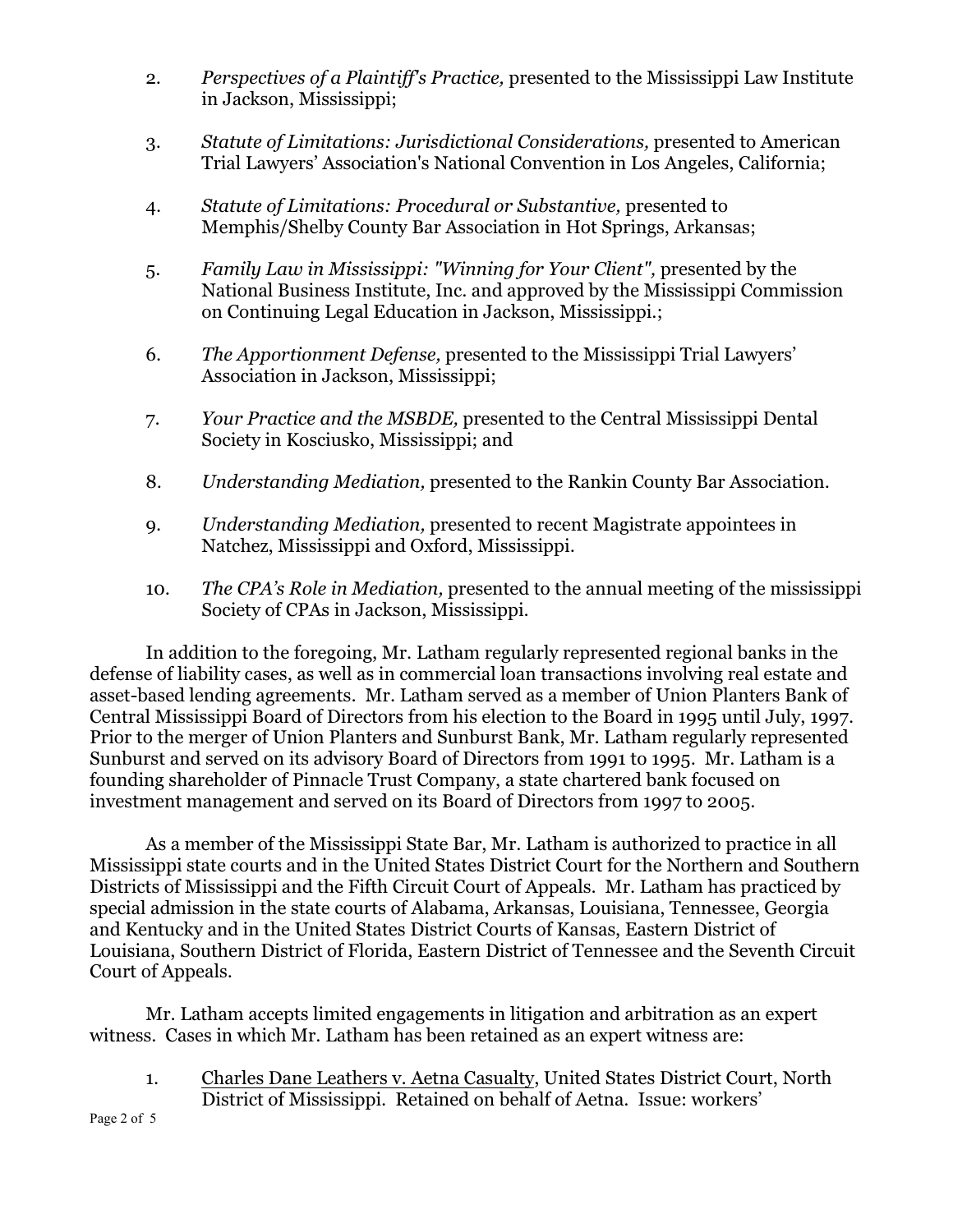- 2. *Perspectives of a Plaintiff's Practice,* presented to the Mississippi Law Institute in Jackson, Mississippi;
- 3. *Statute of Limitations: Jurisdictional Considerations,* presented to American Trial Lawyers' Association's National Convention in Los Angeles, California;
- 4. *Statute of Limitations: Procedural or Substantive,* presented to Memphis/Shelby County Bar Association in Hot Springs, Arkansas;
- 5. *Family Law in Mississippi: "Winning for Your Client",* presented by the National Business Institute, Inc. and approved by the Mississippi Commission on Continuing Legal Education in Jackson, Mississippi.;
- 6. *The Apportionment Defense,* presented to the Mississippi Trial Lawyers' Association in Jackson, Mississippi;
- 7. *Your Practice and the MSBDE,* presented to the Central Mississippi Dental Society in Kosciusko, Mississippi; and
- 8. *Understanding Mediation,* presented to the Rankin County Bar Association.
- 9. *Understanding Mediation,* presented to recent Magistrate appointees in Natchez, Mississippi and Oxford, Mississippi.
- 10. *The CPA's Role in Mediation,* presented to the annual meeting of the mississippi Society of CPAs in Jackson, Mississippi.

In addition to the foregoing, Mr. Latham regularly represented regional banks in the defense of liability cases, as well as in commercial loan transactions involving real estate and asset-based lending agreements. Mr. Latham served as a member of Union Planters Bank of Central Mississippi Board of Directors from his election to the Board in 1995 until July, 1997. Prior to the merger of Union Planters and Sunburst Bank, Mr. Latham regularly represented Sunburst and served on its advisory Board of Directors from 1991 to 1995. Mr. Latham is a founding shareholder of Pinnacle Trust Company, a state chartered bank focused on investment management and served on its Board of Directors from 1997 to 2005.

As a member of the Mississippi State Bar, Mr. Latham is authorized to practice in all Mississippi state courts and in the United States District Court for the Northern and Southern Districts of Mississippi and the Fifth Circuit Court of Appeals. Mr. Latham has practiced by special admission in the state courts of Alabama, Arkansas, Louisiana, Tennessee, Georgia and Kentucky and in the United States District Courts of Kansas, Eastern District of Louisiana, Southern District of Florida, Eastern District of Tennessee and the Seventh Circuit Court of Appeals.

Mr. Latham accepts limited engagements in litigation and arbitration as an expert witness. Cases in which Mr. Latham has been retained as an expert witness are:

1. Charles Dane Leathers v. Aetna Casualty, United States District Court, North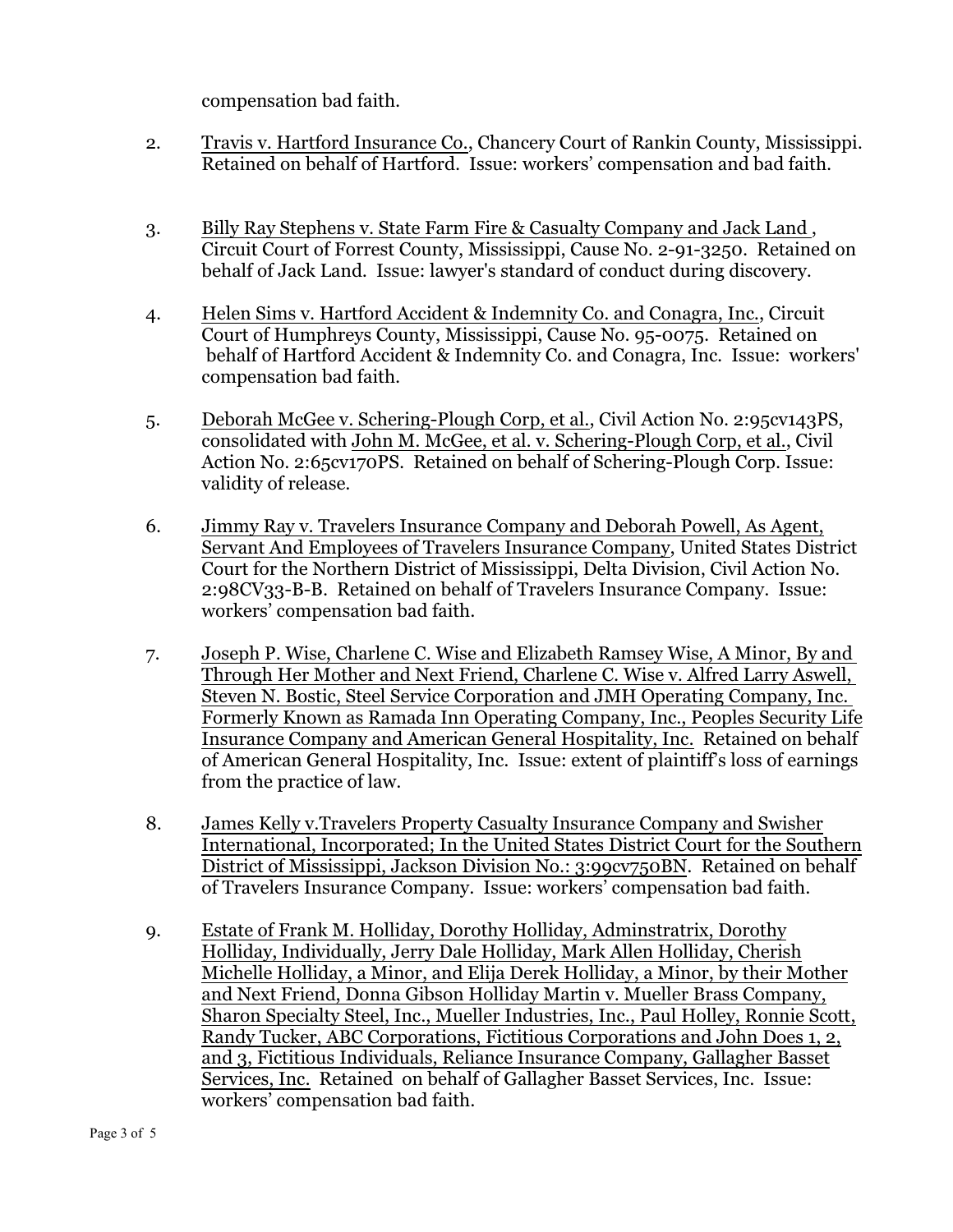compensation bad faith.

- 2. Travis v. Hartford Insurance Co., Chancery Court of Rankin County, Mississippi. Retained on behalf of Hartford. Issue: workers' compensation and bad faith.
- 3. Billy Ray Stephens v. State Farm Fire & Casualty Company and Jack Land , Circuit Court of Forrest County, Mississippi, Cause No. 2-91-3250. Retained on behalf of Jack Land. Issue: lawyer's standard of conduct during discovery.
- 4. Helen Sims v. Hartford Accident & Indemnity Co. and Conagra, Inc., Circuit Court of Humphreys County, Mississippi, Cause No. 95-0075. Retained on behalf of Hartford Accident & Indemnity Co. and Conagra, Inc. Issue: workers' compensation bad faith.
- 5. Deborah McGee v. Schering-Plough Corp, et al., Civil Action No. 2:95cv143PS, consolidated with John M. McGee, et al. v. Schering-Plough Corp, et al., Civil Action No. 2:65cv170PS. Retained on behalf of Schering-Plough Corp. Issue: validity of release.
- 6. Jimmy Ray v. Travelers Insurance Company and Deborah Powell, As Agent, Servant And Employees of Travelers Insurance Company, United States District Court for the Northern District of Mississippi, Delta Division, Civil Action No. 2:98CV33-B-B. Retained on behalf of Travelers Insurance Company. Issue: workers' compensation bad faith.
- 7. Joseph P. Wise, Charlene C. Wise and Elizabeth Ramsey Wise, A Minor, By and Through Her Mother and Next Friend, Charlene C. Wise v. Alfred Larry Aswell, Steven N. Bostic, Steel Service Corporation and JMH Operating Company, Inc. Formerly Known as Ramada Inn Operating Company, Inc., Peoples Security Life Insurance Company and American General Hospitality, Inc. Retained on behalf of American General Hospitality, Inc. Issue: extent of plaintiff's loss of earnings from the practice of law.
- 8. James Kelly v.Travelers Property Casualty Insurance Company and Swisher International, Incorporated; In the United States District Court for the Southern District of Mississippi, Jackson Division No.: 3:99cv750BN. Retained on behalf of Travelers Insurance Company. Issue: workers' compensation bad faith.
- 9. Estate of Frank M. Holliday, Dorothy Holliday, Adminstratrix, Dorothy Holliday, Individually, Jerry Dale Holliday, Mark Allen Holliday, Cherish Michelle Holliday, a Minor, and Elija Derek Holliday, a Minor, by their Mother and Next Friend, Donna Gibson Holliday Martin v. Mueller Brass Company, Sharon Specialty Steel, Inc., Mueller Industries, Inc., Paul Holley, Ronnie Scott, Randy Tucker, ABC Corporations, Fictitious Corporations and John Does 1, 2, and 3, Fictitious Individuals, Reliance Insurance Company, Gallagher Basset Services, Inc. Retained on behalf of Gallagher Basset Services, Inc. Issue: workers' compensation bad faith.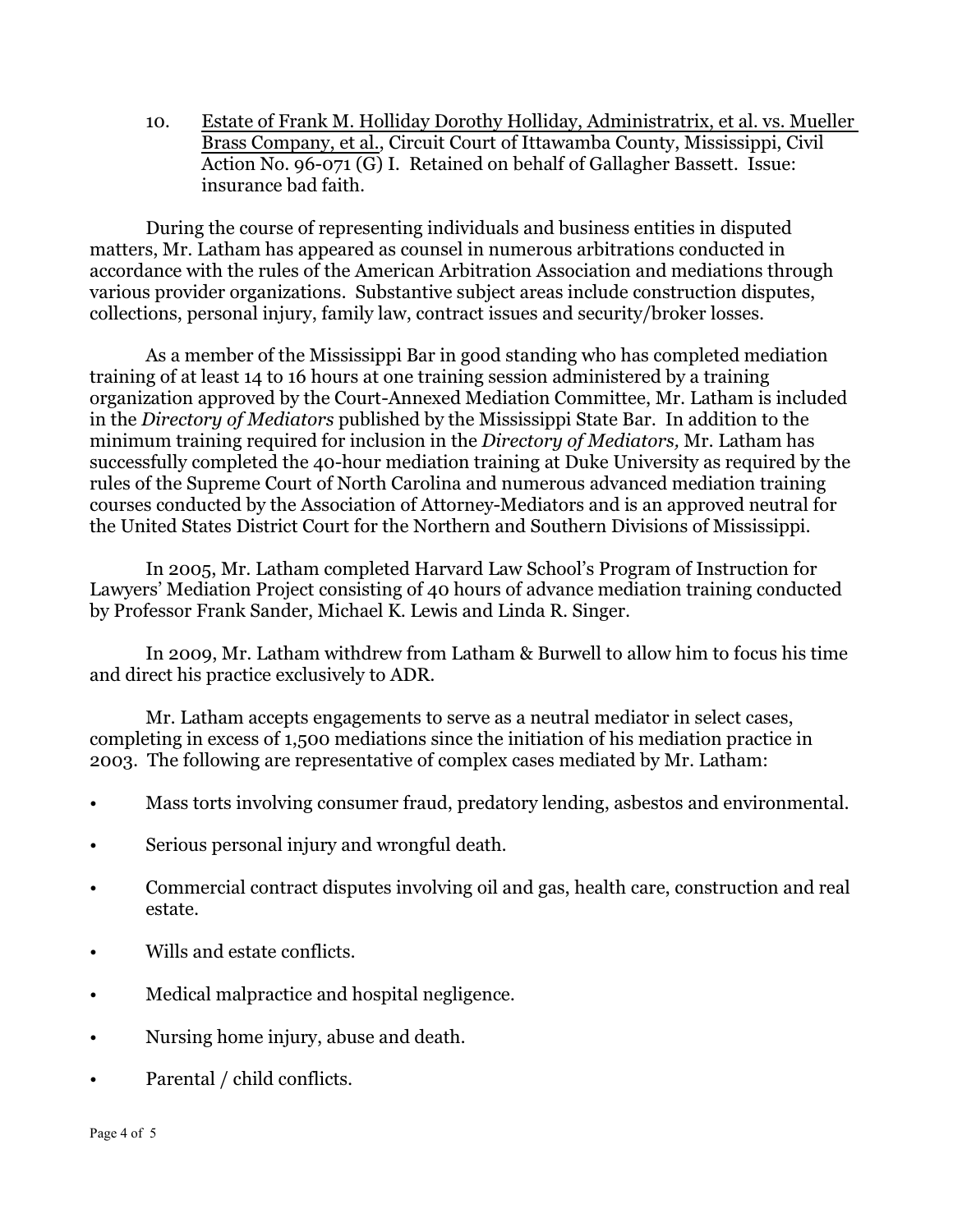10. Estate of Frank M. Holliday Dorothy Holliday, Administratrix, et al. vs. Mueller Brass Company, et al., Circuit Court of Ittawamba County, Mississippi, Civil Action No. 96-071 (G) I. Retained on behalf of Gallagher Bassett. Issue: insurance bad faith.

During the course of representing individuals and business entities in disputed matters, Mr. Latham has appeared as counsel in numerous arbitrations conducted in accordance with the rules of the American Arbitration Association and mediations through various provider organizations. Substantive subject areas include construction disputes, collections, personal injury, family law, contract issues and security/broker losses.

As a member of the Mississippi Bar in good standing who has completed mediation training of at least 14 to 16 hours at one training session administered by a training organization approved by the Court-Annexed Mediation Committee, Mr. Latham is included in the *Directory of Mediators* published by the Mississippi State Bar. In addition to the minimum training required for inclusion in the *Directory of Mediators,* Mr. Latham has successfully completed the 40-hour mediation training at Duke University as required by the rules of the Supreme Court of North Carolina and numerous advanced mediation training courses conducted by the Association of Attorney-Mediators and is an approved neutral for the United States District Court for the Northern and Southern Divisions of Mississippi.

In 2005, Mr. Latham completed Harvard Law School's Program of Instruction for Lawyers' Mediation Project consisting of 40 hours of advance mediation training conducted by Professor Frank Sander, Michael K. Lewis and Linda R. Singer.

In 2009, Mr. Latham withdrew from Latham & Burwell to allow him to focus his time and direct his practice exclusively to ADR.

Mr. Latham accepts engagements to serve as a neutral mediator in select cases, completing in excess of 1,500 mediations since the initiation of his mediation practice in 2003. The following are representative of complex cases mediated by Mr. Latham:

- Mass torts involving consumer fraud, predatory lending, asbestos and environmental.
- Serious personal injury and wrongful death.
- Commercial contract disputes involving oil and gas, health care, construction and real estate.
- Wills and estate conflicts.
- Medical malpractice and hospital negligence.
- Nursing home injury, abuse and death.
- Parental / child conflicts.